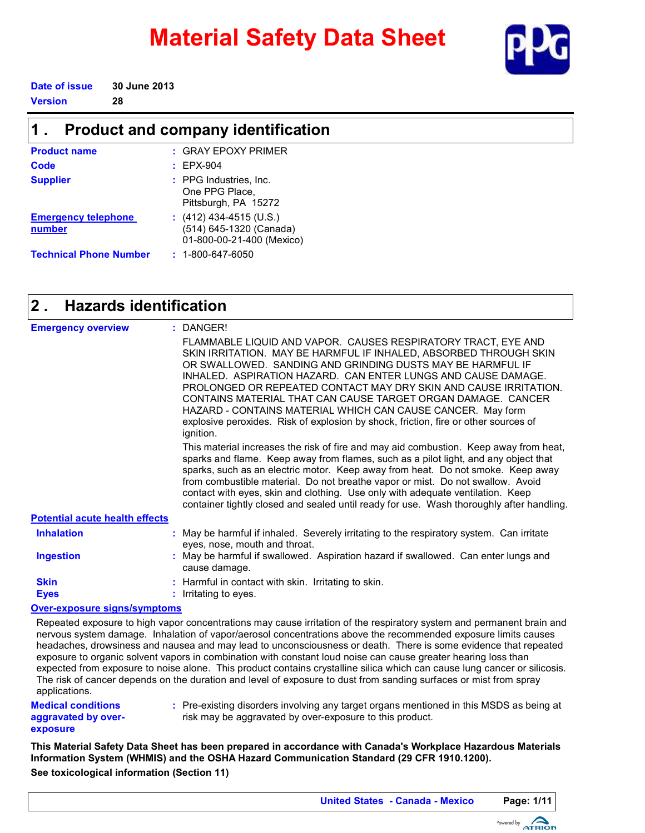# **Material Safety Data Sheet**



**Date of issue 30 June 2013**

**Version 28**

#### **Product and company identification 1 .**

| <b>Product name</b>                  | $:$ GRAY EPOXY PRIMER                                                           |
|--------------------------------------|---------------------------------------------------------------------------------|
| Code                                 | $E$ EPX-904                                                                     |
| <b>Supplier</b>                      | : PPG Industries, Inc.<br>One PPG Place,<br>Pittsburgh, PA 15272                |
| <b>Emergency telephone</b><br>number | $(412)$ 434-4515 (U.S.)<br>(514) 645-1320 (Canada)<br>01-800-00-21-400 (Mexico) |
| <b>Technical Phone Number</b>        | $: 1 - 800 - 647 - 6050$                                                        |

#### **Hazards identification 2 .**

| <b>Emergency overview</b>             | : DANGER!                                                                                                                                                                                                                                                                                                                                                                                                                                                                                                                                                                |
|---------------------------------------|--------------------------------------------------------------------------------------------------------------------------------------------------------------------------------------------------------------------------------------------------------------------------------------------------------------------------------------------------------------------------------------------------------------------------------------------------------------------------------------------------------------------------------------------------------------------------|
|                                       | FLAMMABLE LIQUID AND VAPOR. CAUSES RESPIRATORY TRACT, EYE AND<br>SKIN IRRITATION. MAY BE HARMFUL IF INHALED, ABSORBED THROUGH SKIN<br>OR SWALLOWED. SANDING AND GRINDING DUSTS MAY BE HARMFUL IF<br>INHALED. ASPIRATION HAZARD. CAN ENTER LUNGS AND CAUSE DAMAGE.<br>PROLONGED OR REPEATED CONTACT MAY DRY SKIN AND CAUSE IRRITATION.<br>CONTAINS MATERIAL THAT CAN CAUSE TARGET ORGAN DAMAGE. CANCER<br>HAZARD - CONTAINS MATERIAL WHICH CAN CAUSE CANCER. May form<br>explosive peroxides. Risk of explosion by shock, friction, fire or other sources of<br>ignition. |
|                                       | This material increases the risk of fire and may aid combustion. Keep away from heat,<br>sparks and flame. Keep away from flames, such as a pilot light, and any object that<br>sparks, such as an electric motor. Keep away from heat. Do not smoke. Keep away<br>from combustible material. Do not breathe vapor or mist. Do not swallow. Avoid<br>contact with eyes, skin and clothing. Use only with adequate ventilation. Keep<br>container tightly closed and sealed until ready for use. Wash thoroughly after handling.                                          |
| <b>Potential acute health effects</b> |                                                                                                                                                                                                                                                                                                                                                                                                                                                                                                                                                                          |
| <b>Inhalation</b>                     | : May be harmful if inhaled. Severely irritating to the respiratory system. Can irritate<br>eyes, nose, mouth and throat.                                                                                                                                                                                                                                                                                                                                                                                                                                                |
| <b>Ingestion</b>                      | : May be harmful if swallowed. Aspiration hazard if swallowed. Can enter lungs and<br>cause damage.                                                                                                                                                                                                                                                                                                                                                                                                                                                                      |
| <b>Skin</b><br><b>Eyes</b>            | : Harmful in contact with skin. Irritating to skin.<br>: Irritating to eyes.                                                                                                                                                                                                                                                                                                                                                                                                                                                                                             |
| Over expective eleme overate me       |                                                                                                                                                                                                                                                                                                                                                                                                                                                                                                                                                                          |

#### **Over-exposure signs/symptoms**

Repeated exposure to high vapor concentrations may cause irritation of the respiratory system and permanent brain and nervous system damage. Inhalation of vapor/aerosol concentrations above the recommended exposure limits causes headaches, drowsiness and nausea and may lead to unconsciousness or death. There is some evidence that repeated exposure to organic solvent vapors in combination with constant loud noise can cause greater hearing loss than expected from exposure to noise alone. This product contains crystalline silica which can cause lung cancer or silicosis. The risk of cancer depends on the duration and level of exposure to dust from sanding surfaces or mist from spray applications.

**Medical conditions aggravated by overexposure**

Pre-existing disorders involving any target organs mentioned in this MSDS as being at **:** risk may be aggravated by over-exposure to this product.

**See toxicological information (Section 11) This Material Safety Data Sheet has been prepared in accordance with Canada's Workplace Hazardous Materials Information System (WHMIS) and the OSHA Hazard Communication Standard (29 CFR 1910.1200).**

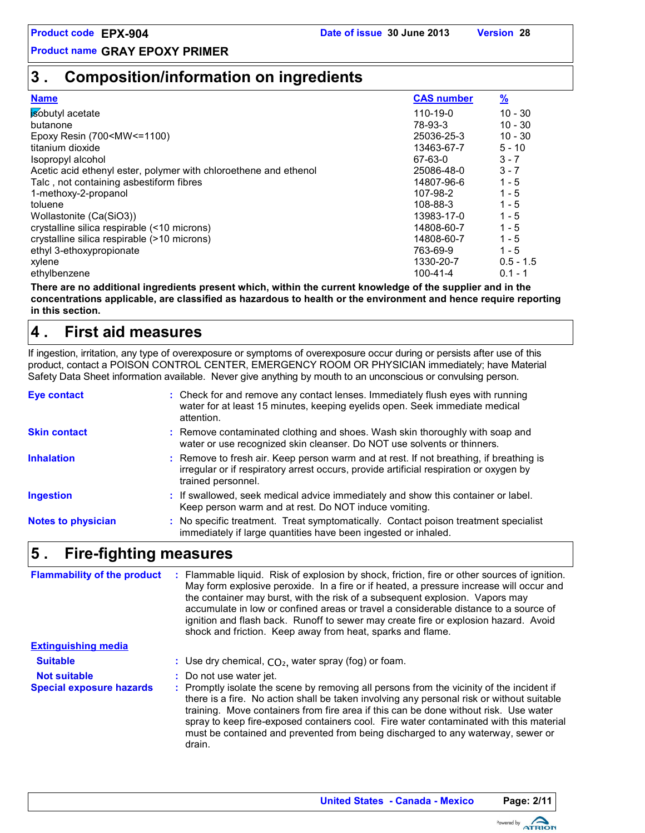# **3 . Composition/information on ingredients**

| <b>Name</b>                                                                                      | <b>CAS number</b> | $\frac{9}{2}$ |
|--------------------------------------------------------------------------------------------------|-------------------|---------------|
| isobutyl acetate                                                                                 | 110-19-0          | $10 - 30$     |
| butanone                                                                                         | 78-93-3           | $10 - 30$     |
| Epoxy Resin (700 <mw<=1100)< td=""><td>25036-25-3</td><td><math>10 - 30</math></td></mw<=1100)<> | 25036-25-3        | $10 - 30$     |
| titanium dioxide                                                                                 | 13463-67-7        | $5 - 10$      |
| Isopropyl alcohol                                                                                | 67-63-0           | $3 - 7$       |
| Acetic acid ethenyl ester, polymer with chloroethene and ethenol                                 | 25086-48-0        | $3 - 7$       |
| Talc, not containing asbestiform fibres                                                          | 14807-96-6        | $1 - 5$       |
| 1-methoxy-2-propanol                                                                             | 107-98-2          | $1 - 5$       |
| toluene                                                                                          | 108-88-3          | $1 - 5$       |
| Wollastonite (Ca(SiO3))                                                                          | 13983-17-0        | $1 - 5$       |
| crystalline silica respirable (<10 microns)                                                      | 14808-60-7        | $1 - 5$       |
| crystalline silica respirable (>10 microns)                                                      | 14808-60-7        | $1 - 5$       |
| ethyl 3-ethoxypropionate                                                                         | 763-69-9          | $1 - 5$       |
| xylene                                                                                           | 1330-20-7         | $0.5 - 1.5$   |
| ethylbenzene                                                                                     | $100 - 41 - 4$    | $0.1 - 1$     |

**There are no additional ingredients present which, within the current knowledge of the supplier and in the concentrations applicable, are classified as hazardous to health or the environment and hence require reporting in this section.**

#### **First aid measures 4 .**

If ingestion, irritation, any type of overexposure or symptoms of overexposure occur during or persists after use of this product, contact a POISON CONTROL CENTER, EMERGENCY ROOM OR PHYSICIAN immediately; have Material Safety Data Sheet information available. Never give anything by mouth to an unconscious or convulsing person.

| <b>Eye contact</b>        | : Check for and remove any contact lenses. Immediately flush eyes with running<br>water for at least 15 minutes, keeping eyelids open. Seek immediate medical<br>attention.                            |
|---------------------------|--------------------------------------------------------------------------------------------------------------------------------------------------------------------------------------------------------|
| Skin contact              | : Remove contaminated clothing and shoes. Wash skin thoroughly with soap and<br>water or use recognized skin cleanser. Do NOT use solvents or thinners.                                                |
| <b>Inhalation</b>         | : Remove to fresh air. Keep person warm and at rest. If not breathing, if breathing is<br>irregular or if respiratory arrest occurs, provide artificial respiration or oxygen by<br>trained personnel. |
| <b>Ingestion</b>          | : If swallowed, seek medical advice immediately and show this container or label.<br>Keep person warm and at rest. Do NOT induce vomiting.                                                             |
| <b>Notes to physician</b> | : No specific treatment. Treat symptomatically. Contact poison treatment specialist<br>immediately if large quantities have been ingested or inhaled.                                                  |

#### **Fire-fighting measures 5 .**

| <b>Flammability of the product</b> | : Flammable liquid. Risk of explosion by shock, friction, fire or other sources of ignition.<br>May form explosive peroxide. In a fire or if heated, a pressure increase will occur and<br>the container may burst, with the risk of a subsequent explosion. Vapors may<br>accumulate in low or confined areas or travel a considerable distance to a source of<br>ignition and flash back. Runoff to sewer may create fire or explosion hazard. Avoid<br>shock and friction. Keep away from heat, sparks and flame. |
|------------------------------------|----------------------------------------------------------------------------------------------------------------------------------------------------------------------------------------------------------------------------------------------------------------------------------------------------------------------------------------------------------------------------------------------------------------------------------------------------------------------------------------------------------------------|
| <b>Extinguishing media</b>         |                                                                                                                                                                                                                                                                                                                                                                                                                                                                                                                      |
| <b>Suitable</b>                    | : Use dry chemical, $CO2$ , water spray (fog) or foam.                                                                                                                                                                                                                                                                                                                                                                                                                                                               |
| <b>Not suitable</b>                | : Do not use water jet.                                                                                                                                                                                                                                                                                                                                                                                                                                                                                              |
| <b>Special exposure hazards</b>    | : Promptly isolate the scene by removing all persons from the vicinity of the incident if<br>there is a fire. No action shall be taken involving any personal risk or without suitable<br>training. Move containers from fire area if this can be done without risk. Use water<br>spray to keep fire-exposed containers cool. Fire water contaminated with this material<br>must be contained and prevented from being discharged to any waterway, sewer or<br>drain.                                                |

**United States - Canada - Mexico Page: 2/11**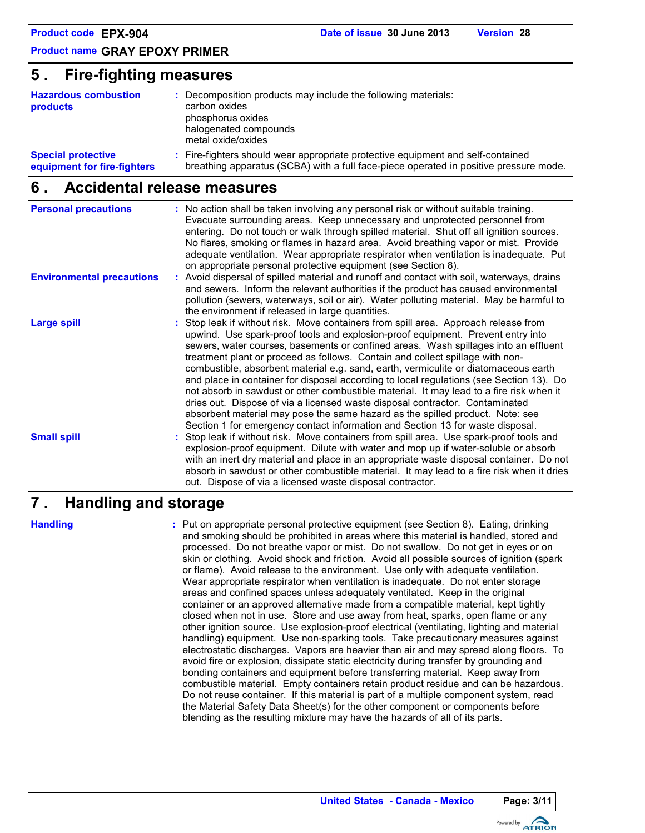# **5 . Fire-fighting measures**

| <b>Hazardous combustion</b><br>products                  | Decomposition products may include the following materials:<br>carbon oxides<br>phosphorus oxides<br>halogenated compounds<br>metal oxide/oxides                         |
|----------------------------------------------------------|--------------------------------------------------------------------------------------------------------------------------------------------------------------------------|
| <b>Special protective</b><br>equipment for fire-fighters | : Fire-fighters should wear appropriate protective equipment and self-contained<br>breathing apparatus (SCBA) with a full face-piece operated in positive pressure mode. |

#### **Accidental release measures 6 .**

| <b>Personal precautions</b>      | : No action shall be taken involving any personal risk or without suitable training.<br>Evacuate surrounding areas. Keep unnecessary and unprotected personnel from<br>entering. Do not touch or walk through spilled material. Shut off all ignition sources.<br>No flares, smoking or flames in hazard area. Avoid breathing vapor or mist. Provide<br>adequate ventilation. Wear appropriate respirator when ventilation is inadequate. Put<br>on appropriate personal protective equipment (see Section 8).                                                                                                                                                                                                                                                                                                                                                                |
|----------------------------------|--------------------------------------------------------------------------------------------------------------------------------------------------------------------------------------------------------------------------------------------------------------------------------------------------------------------------------------------------------------------------------------------------------------------------------------------------------------------------------------------------------------------------------------------------------------------------------------------------------------------------------------------------------------------------------------------------------------------------------------------------------------------------------------------------------------------------------------------------------------------------------|
| <b>Environmental precautions</b> | : Avoid dispersal of spilled material and runoff and contact with soil, waterways, drains<br>and sewers. Inform the relevant authorities if the product has caused environmental<br>pollution (sewers, waterways, soil or air). Water polluting material. May be harmful to<br>the environment if released in large quantities.                                                                                                                                                                                                                                                                                                                                                                                                                                                                                                                                                |
| <b>Large spill</b>               | : Stop leak if without risk. Move containers from spill area. Approach release from<br>upwind. Use spark-proof tools and explosion-proof equipment. Prevent entry into<br>sewers, water courses, basements or confined areas. Wash spillages into an effluent<br>treatment plant or proceed as follows. Contain and collect spillage with non-<br>combustible, absorbent material e.g. sand, earth, vermiculite or diatomaceous earth<br>and place in container for disposal according to local regulations (see Section 13). Do<br>not absorb in sawdust or other combustible material. It may lead to a fire risk when it<br>dries out. Dispose of via a licensed waste disposal contractor. Contaminated<br>absorbent material may pose the same hazard as the spilled product. Note: see<br>Section 1 for emergency contact information and Section 13 for waste disposal. |
| <b>Small spill</b>               | : Stop leak if without risk. Move containers from spill area. Use spark-proof tools and<br>explosion-proof equipment. Dilute with water and mop up if water-soluble or absorb<br>with an inert dry material and place in an appropriate waste disposal container. Do not<br>absorb in sawdust or other combustible material. It may lead to a fire risk when it dries<br>out. Dispose of via a licensed waste disposal contractor.                                                                                                                                                                                                                                                                                                                                                                                                                                             |

#### **Handling and storage 7 .**

**Handling :**

Put on appropriate personal protective equipment (see Section 8). Eating, drinking and smoking should be prohibited in areas where this material is handled, stored and processed. Do not breathe vapor or mist. Do not swallow. Do not get in eyes or on skin or clothing. Avoid shock and friction. Avoid all possible sources of ignition (spark or flame). Avoid release to the environment. Use only with adequate ventilation. Wear appropriate respirator when ventilation is inadequate. Do not enter storage areas and confined spaces unless adequately ventilated. Keep in the original container or an approved alternative made from a compatible material, kept tightly closed when not in use. Store and use away from heat, sparks, open flame or any other ignition source. Use explosion-proof electrical (ventilating, lighting and material handling) equipment. Use non-sparking tools. Take precautionary measures against electrostatic discharges. Vapors are heavier than air and may spread along floors. To avoid fire or explosion, dissipate static electricity during transfer by grounding and bonding containers and equipment before transferring material. Keep away from combustible material. Empty containers retain product residue and can be hazardous. Do not reuse container. If this material is part of a multiple component system, read the Material Safety Data Sheet(s) for the other component or components before blending as the resulting mixture may have the hazards of all of its parts.

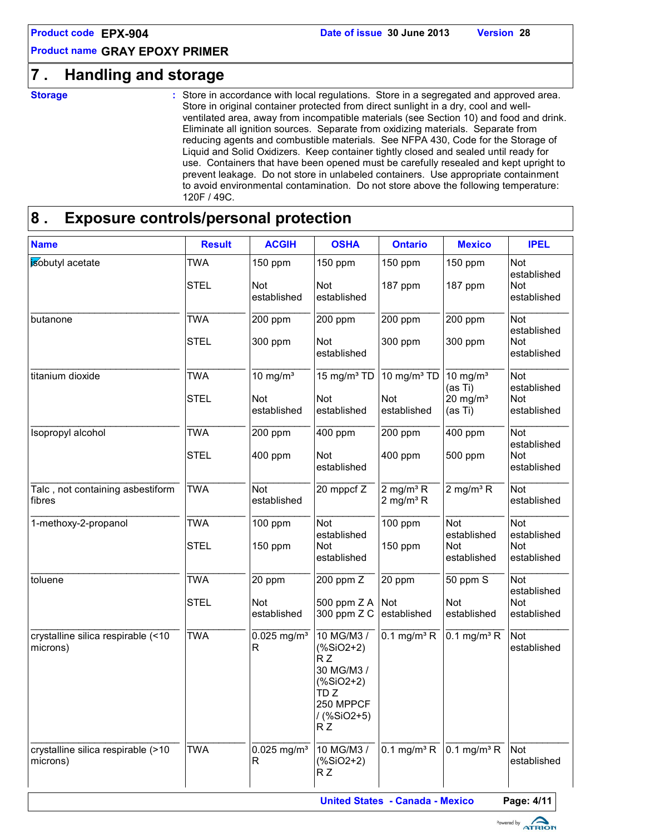# **7 . Handling and storage**

**Storage :**

Store in accordance with local regulations. Store in a segregated and approved area. Store in original container protected from direct sunlight in a dry, cool and wellventilated area, away from incompatible materials (see Section 10) and food and drink. Eliminate all ignition sources. Separate from oxidizing materials. Separate from reducing agents and combustible materials. See NFPA 430, Code for the Storage of Liquid and Solid Oxidizers. Keep container tightly closed and sealed until ready for use. Containers that have been opened must be carefully resealed and kept upright to prevent leakage. Do not store in unlabeled containers. Use appropriate containment to avoid environmental contamination. Do not store above the following temperature: 120F / 49C.

# **8 . Exposure controls/personal protection**

| <b>Name</b>                                    | <b>Result</b>             | <b>ACGIH</b>                   | <b>OSHA</b>                                                                                                            | <b>Ontario</b>                          | <b>Mexico</b>                                    | <b>IPEL</b>                                            |
|------------------------------------------------|---------------------------|--------------------------------|------------------------------------------------------------------------------------------------------------------------|-----------------------------------------|--------------------------------------------------|--------------------------------------------------------|
| isobutyl acetate                               | <b>TWA</b><br><b>STEL</b> | 150 ppm<br>Not<br>established  | 150 ppm<br>Not<br>established                                                                                          | 150 ppm<br>187 ppm                      | 150 ppm<br>187 ppm                               | Not<br>established<br>Not<br>established               |
| butanone                                       | TWA<br><b>STEL</b>        | 200 ppm<br>300 ppm             | 200 ppm<br>Not                                                                                                         | $200$ ppm<br>300 ppm                    | 200 ppm<br>300 ppm                               | <b>Not</b><br>established<br>Not                       |
| titanium dioxide                               | <b>TWA</b><br><b>STEL</b> | 10 mg/ $m3$<br><b>Not</b>      | established<br>$15 \text{ mg/m}^3$ TD<br><b>Not</b>                                                                    | 10 mg/m <sup>3</sup> TD<br>Not          | 10 mg/ $m3$<br>(as Ti)<br>$20$ mg/m <sup>3</sup> | established<br><b>Not</b><br>established<br><b>Not</b> |
|                                                |                           | established                    | established                                                                                                            | established                             | (as Ti)                                          | established                                            |
| Isopropyl alcohol                              | <b>TWA</b><br><b>STEL</b> | 200 ppm<br>400 ppm             | 400 ppm<br>Not<br>established                                                                                          | 200 ppm<br>400 ppm                      | 400 ppm<br>500 ppm                               | Not<br>established<br>Not<br>established               |
| Talc, not containing asbestiform<br>fibres     | <b>TWA</b>                | Not<br>established             | $20$ mppcf $Z$                                                                                                         | $2$ mg/m <sup>3</sup> R<br>2 mg/m $3$ R | $2 \text{ mg/m}^3$ R                             | <b>Not</b><br>established                              |
| 1-methoxy-2-propanol                           | <b>TWA</b><br><b>STEL</b> | 100 ppm<br>150 ppm             | <b>Not</b><br>established<br>Not<br>established                                                                        | 100 ppm<br>150 ppm                      | Not<br>established<br>Not<br>established         | Not<br>established<br>Not<br>established               |
| toluene                                        | <b>TWA</b><br><b>STEL</b> | 20 ppm<br>Not<br>established   | 200 ppm Z<br>500 ppm $Z A$ Not<br>300 ppm Z C                                                                          | 20 ppm<br>established                   | 50 ppm S<br>Not<br>established                   | <b>Not</b><br>established<br>Not<br>established        |
| crystalline silica respirable (<10<br>microns) | <b>TWA</b>                | $0.025$ mg/m <sup>3</sup><br>R | 10 MG/M3 /<br>$(% ^{*3}C^{-1})$<br>RZ<br>30 MG/M3 /<br>$(% ^{*3}$ (%SiO2+2)<br>TD Z<br>250 MPPCF<br>/ (%SiO2+5)<br>R Z | $0.1$ mg/m <sup>3</sup> R               | $0.1$ mg/m <sup>3</sup> R                        | Not<br>established                                     |
| crystalline silica respirable (>10<br>microns) | <b>TWA</b>                | $0.025$ mg/m <sup>3</sup><br>R | 10 MG/M3 /<br>$(% ^{*3}C^{-1})$<br>R Z                                                                                 | $0.1$ mg/m <sup>3</sup> R               | $0.1$ mg/m <sup>3</sup> R                        | Not<br>established                                     |

**United States - Canada - Mexico Page: 4/11**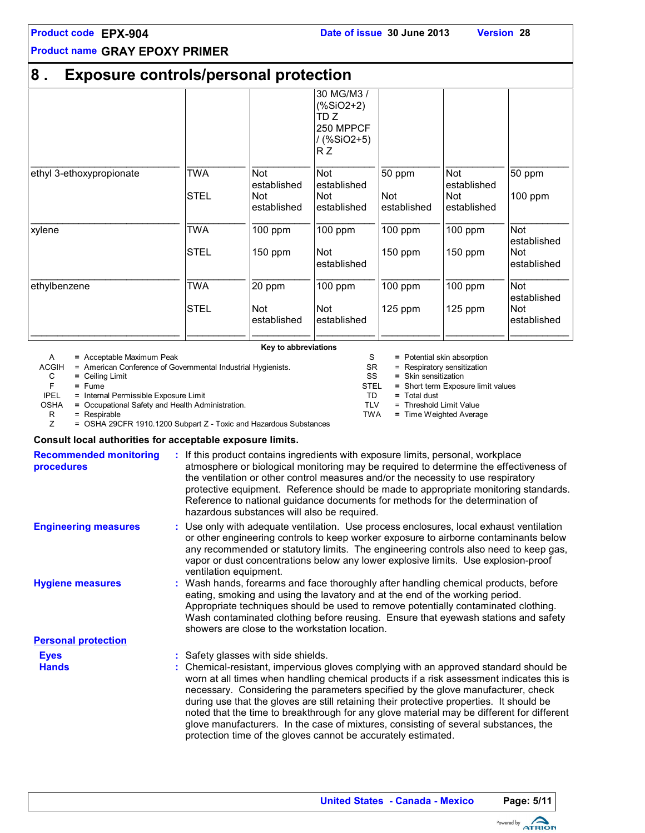| <b>Product code EPX-904</b> |  |
|-----------------------------|--|
|-----------------------------|--|

#### **8 . Exposure controls/personal protection** 30 MG/M3 / (%SiO2+2) TD Z 250 MPPCF / (%SiO2+5) R Z \_\_\_\_\_\_\_\_\_\_\_\_\_\_\_\_\_\_\_\_\_\_\_\_\_\_\_\_ \_\_\_\_\_\_\_\_\_\_\_ \_\_\_\_\_\_\_\_\_\_\_ \_\_\_\_\_\_\_\_\_\_\_ \_\_\_\_\_\_\_\_\_\_\_ \_\_\_\_\_\_\_\_\_\_\_ \_\_\_\_\_\_\_\_\_\_\_ ethyl 3-ethoxypropionate TWA Not established Not established 50 ppm Not established 50 ppm **STEL** established Not established Not established Not established 100 ppm \_\_\_\_\_\_\_\_\_\_\_\_\_\_\_\_\_\_\_\_\_\_\_\_\_\_\_\_ \_\_\_\_\_\_\_\_\_\_\_ \_\_\_\_\_\_\_\_\_\_\_ \_\_\_\_\_\_\_\_\_\_\_ \_\_\_\_\_\_\_\_\_\_\_ \_\_\_\_\_\_\_\_\_\_\_ \_\_\_\_\_\_\_\_\_\_\_ xylene TWA 100 ppm 100 ppm 100 ppm 100 ppm Not established STEL | 150 ppm | Not established 150 ppm | 150 ppm | Not established \_\_\_\_\_\_\_\_\_\_\_\_\_\_\_\_\_\_\_\_\_\_\_\_\_\_\_\_ \_\_\_\_\_\_\_\_\_\_\_ \_\_\_\_\_\_\_\_\_\_\_ \_\_\_\_\_\_\_\_\_\_\_ \_\_\_\_\_\_\_\_\_\_\_ \_\_\_\_\_\_\_\_\_\_\_ \_\_\_\_\_\_\_\_\_\_\_ ethylbenzene TWA 20 ppm 100 ppm 100 ppm 100 ppm Not established STEL Not established Not established 125 ppm  $\vert$  125 ppm established \_\_\_\_\_\_\_\_\_\_\_\_\_\_\_\_\_\_\_\_\_\_\_\_\_\_\_\_ \_\_\_\_\_\_\_\_\_\_\_ \_\_\_\_\_\_\_\_\_\_\_ \_\_\_\_\_\_\_\_\_\_\_ \_\_\_\_\_\_\_\_\_\_\_ \_\_\_\_\_\_\_\_\_\_\_ \_\_\_\_\_\_\_\_\_\_\_

**Key to abbreviations**

A **=** Acceptable Maximum Peak

ACGIH = American Conference of Governmental Industrial Hygienists.

C **=** Ceiling Limit

F **=** Fume

IPEL = Internal Permissible Exposure Limit

OSHA = Occupational Safety and Health Administration.<br>R = Respirable<br>Z = OSHA 29CFR 1910.1200 Subpart Z - Toxic and

= Respirable

= OSHA 29CFR 1910.1200 Subpart Z - Toxic and Hazardous Substances

#### **Consult local authorities for acceptable exposure limits.**

| <b>Recommended monitoring</b><br>procedures | If this product contains ingredients with exposure limits, personal, workplace<br>atmosphere or biological monitoring may be required to determine the effectiveness of<br>the ventilation or other control measures and/or the necessity to use respiratory<br>protective equipment. Reference should be made to appropriate monitoring standards.<br>Reference to national guidance documents for methods for the determination of<br>hazardous substances will also be required.                                                                                                                                                                           |
|---------------------------------------------|---------------------------------------------------------------------------------------------------------------------------------------------------------------------------------------------------------------------------------------------------------------------------------------------------------------------------------------------------------------------------------------------------------------------------------------------------------------------------------------------------------------------------------------------------------------------------------------------------------------------------------------------------------------|
| <b>Engineering measures</b>                 | : Use only with adequate ventilation. Use process enclosures, local exhaust ventilation<br>or other engineering controls to keep worker exposure to airborne contaminants below<br>any recommended or statutory limits. The engineering controls also need to keep gas,<br>vapor or dust concentrations below any lower explosive limits. Use explosion-proof<br>ventilation equipment.                                                                                                                                                                                                                                                                       |
| <b>Hygiene measures</b>                     | : Wash hands, forearms and face thoroughly after handling chemical products, before<br>eating, smoking and using the lavatory and at the end of the working period.<br>Appropriate techniques should be used to remove potentially contaminated clothing.<br>Wash contaminated clothing before reusing. Ensure that eyewash stations and safety<br>showers are close to the workstation location.                                                                                                                                                                                                                                                             |
| <b>Personal protection</b>                  |                                                                                                                                                                                                                                                                                                                                                                                                                                                                                                                                                                                                                                                               |
| <b>Eyes</b><br><b>Hands</b>                 | : Safety glasses with side shields.<br>: Chemical-resistant, impervious gloves complying with an approved standard should be<br>worn at all times when handling chemical products if a risk assessment indicates this is<br>necessary. Considering the parameters specified by the glove manufacturer, check<br>during use that the gloves are still retaining their protective properties. It should be<br>noted that the time to breakthrough for any glove material may be different for different<br>glove manufacturers. In the case of mixtures, consisting of several substances, the<br>protection time of the gloves cannot be accurately estimated. |
|                                             |                                                                                                                                                                                                                                                                                                                                                                                                                                                                                                                                                                                                                                                               |



 $SR =$  Respiratory sensitization<br> $SS =$  Skin sensitization = Skin sensitization

STEL **=** = Short term Exposure limit values

S = Potential skin absorption

- TD **=** Total dust
- $TLV = Threshold Limit Value  
\nTWA = Time Weiahted Average$ 
	- $=$  Time Weighted Average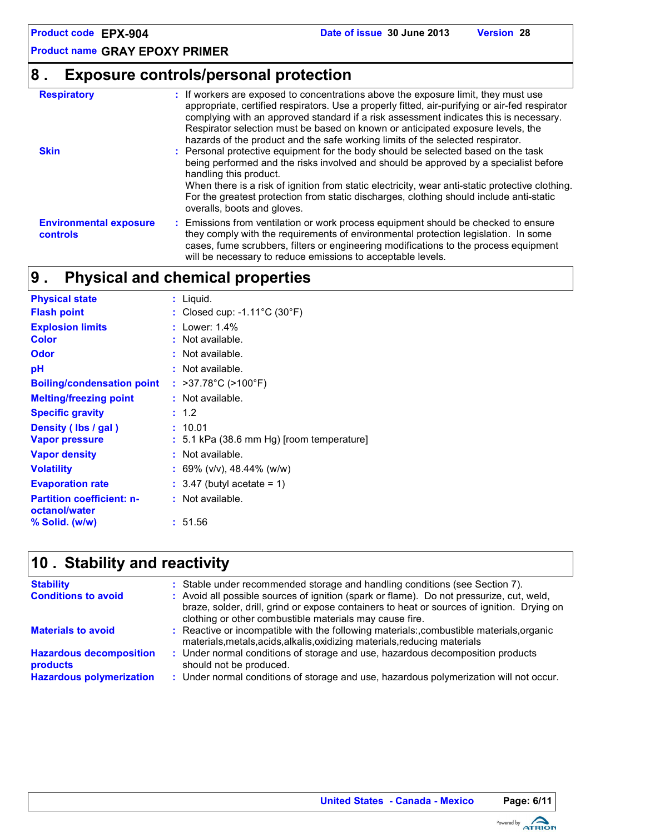# **8 . Exposure controls/personal protection**

| <b>Respiratory</b>                        | : If workers are exposed to concentrations above the exposure limit, they must use<br>appropriate, certified respirators. Use a properly fitted, air-purifying or air-fed respirator<br>complying with an approved standard if a risk assessment indicates this is necessary.<br>Respirator selection must be based on known or anticipated exposure levels, the<br>hazards of the product and the safe working limits of the selected respirator. |
|-------------------------------------------|----------------------------------------------------------------------------------------------------------------------------------------------------------------------------------------------------------------------------------------------------------------------------------------------------------------------------------------------------------------------------------------------------------------------------------------------------|
| <b>Skin</b>                               | : Personal protective equipment for the body should be selected based on the task<br>being performed and the risks involved and should be approved by a specialist before<br>handling this product.<br>When there is a risk of ignition from static electricity, wear anti-static protective clothing.<br>For the greatest protection from static discharges, clothing should include anti-static<br>overalls, boots and gloves.                   |
| <b>Environmental exposure</b><br>controls | : Emissions from ventilation or work process equipment should be checked to ensure<br>they comply with the requirements of environmental protection legislation. In some<br>cases, fume scrubbers, filters or engineering modifications to the process equipment<br>will be necessary to reduce emissions to acceptable levels.                                                                                                                    |

#### **Physical and chemical properties 9 .**

| <b>Physical state</b>                             | : Liquid.                                          |
|---------------------------------------------------|----------------------------------------------------|
| <b>Flash point</b>                                | : Closed cup: -1.11 $^{\circ}$ C (30 $^{\circ}$ F) |
| <b>Explosion limits</b>                           | : Lower: 1.4%                                      |
| Color                                             | : Not available.                                   |
| Odor                                              | : Not available.                                   |
| рH                                                | : Not available.                                   |
| <b>Boiling/condensation point</b>                 | : >37.78°C (>100°F)                                |
| <b>Melting/freezing point</b>                     | : Not available.                                   |
| <b>Specific gravity</b>                           | : 1.2                                              |
| Density (Ibs / gal)                               | : 10.01                                            |
| <b>Vapor pressure</b>                             | $: 5.1$ kPa (38.6 mm Hg) [room temperature]        |
| <b>Vapor density</b>                              | : Not available.                                   |
| <b>Volatility</b>                                 | : 69% (v/v), 48.44% (w/w)                          |
| <b>Evaporation rate</b>                           | $: 3.47$ (butyl acetate = 1)                       |
| <b>Partition coefficient: n-</b><br>octanol/water | : Not available.                                   |
| % Solid. (w/w)                                    | : 51.56                                            |

# **Stability and reactivity 10 .**

| <b>Stability</b><br><b>Conditions to avoid</b>                                       | : Stable under recommended storage and handling conditions (see Section 7).<br>: Avoid all possible sources of ignition (spark or flame). Do not pressurize, cut, weld,<br>braze, solder, drill, grind or expose containers to heat or sources of ignition. Drying on<br>clothing or other combustible materials may cause fire. |
|--------------------------------------------------------------------------------------|----------------------------------------------------------------------------------------------------------------------------------------------------------------------------------------------------------------------------------------------------------------------------------------------------------------------------------|
| <b>Materials to avoid</b>                                                            | : Reactive or incompatible with the following materials:, combustible materials, organic<br>materials, metals, acids, alkalis, oxidizing materials, reducing materials                                                                                                                                                           |
| <b>Hazardous decomposition</b><br><b>products</b><br><b>Hazardous polymerization</b> | : Under normal conditions of storage and use, hazardous decomposition products<br>should not be produced.<br>: Under normal conditions of storage and use, hazardous polymerization will not occur.                                                                                                                              |

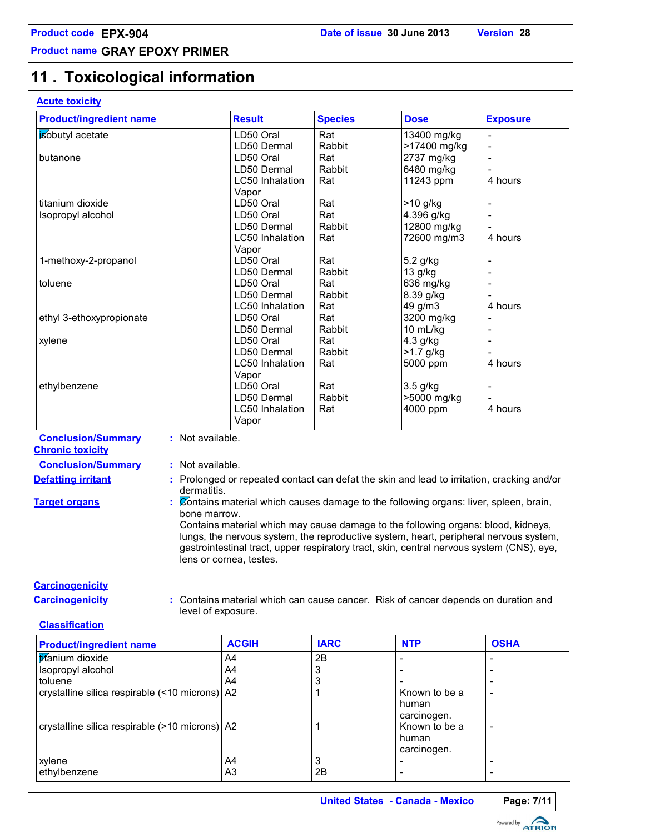# **11 . Toxicological information**

### **Acute toxicity**

| <b>Product/ingredient name</b> | <b>Result</b>          | <b>Species</b> | <b>Dose</b>  | <b>Exposure</b> |
|--------------------------------|------------------------|----------------|--------------|-----------------|
| sobutyl acetate                | LD50 Oral              | Rat            | 13400 mg/kg  |                 |
|                                | LD50 Dermal            | Rabbit         | >17400 mg/kg |                 |
| butanone                       | LD50 Oral              | Rat            | 2737 mg/kg   |                 |
|                                | LD50 Dermal            | Rabbit         | 6480 mg/kg   |                 |
|                                | <b>LC50</b> Inhalation | Rat            | 11243 ppm    | 4 hours         |
|                                | Vapor                  |                |              |                 |
| titanium dioxide               | LD50 Oral              | Rat            | >10 g/kg     |                 |
| Isopropyl alcohol              | LD50 Oral              | Rat            | 4.396 g/kg   |                 |
|                                | LD50 Dermal            | Rabbit         | 12800 mg/kg  |                 |
|                                | <b>LC50</b> Inhalation | Rat            | 72600 mg/m3  | 4 hours         |
|                                | Vapor                  |                |              |                 |
| 1-methoxy-2-propanol           | LD50 Oral              | Rat            | 5.2 g/kg     |                 |
|                                | LD50 Dermal            | Rabbit         | 13 g/kg      |                 |
| toluene                        | LD50 Oral              | Rat            | 636 mg/kg    |                 |
|                                | LD50 Dermal            | Rabbit         | 8.39 g/kg    |                 |
|                                | <b>LC50</b> Inhalation | Rat            | 49 g/m3      | 4 hours         |
| ethyl 3-ethoxypropionate       | LD50 Oral              | Rat            | 3200 mg/kg   |                 |
|                                | LD50 Dermal            | Rabbit         | 10 mL/kg     |                 |
| xylene                         | LD50 Oral              | Rat            | 4.3 g/kg     |                 |
|                                | LD50 Dermal            | Rabbit         | >1.7 g/kg    |                 |
|                                | LC50 Inhalation        | Rat            | 5000 ppm     | 4 hours         |
|                                | Vapor                  |                |              |                 |
| ethylbenzene                   | LD50 Oral              | Rat            | $3.5$ g/kg   |                 |
|                                | LD50 Dermal            | Rabbit         | >5000 mg/kg  |                 |
|                                | LC50 Inhalation        | Rat            | 4000 ppm     | 4 hours         |
|                                | Vapor                  |                |              |                 |

**Conclusion/Summary :** Not available. **Chronic toxicity**

# **Conclusion/Summary :** Not available.

- **Defatting irritant <b>:** Prolonged or repeated contact can defat the skin and lead to irritation, cracking and/or dermatitis.
- **Target organs :** Contains material which causes damage to the following organs: liver, spleen, brain, bone marrow.

Contains material which may cause damage to the following organs: blood, kidneys, lungs, the nervous system, the reproductive system, heart, peripheral nervous system, gastrointestinal tract, upper respiratory tract, skin, central nervous system (CNS), eye, lens or cornea, testes.

#### **Carcinogenicity**

**Carcinogenicity :** Contains material which can cause cancer. Risk of cancer depends on duration and level of exposure.

#### **Classification**

| <b>Product/ingredient name</b>                   | <b>ACGIH</b> | <b>IARC</b> | <b>NTP</b>                                     | <b>OSHA</b> |
|--------------------------------------------------|--------------|-------------|------------------------------------------------|-------------|
| titanium dioxide                                 | A4           | 2B          |                                                |             |
| Isopropyl alcohol                                | A4           |             |                                                |             |
| toluene                                          | A4           |             |                                                |             |
| crystalline silica respirable (<10 microns)   A2 |              |             | Known to be a                                  |             |
| crystalline silica respirable (>10 microns) A2   |              |             | human<br>carcinogen.<br>Known to be a<br>human | ٠           |
|                                                  |              |             | carcinogen.                                    |             |
| xylene                                           | A4           | 3           |                                                |             |
| ethylbenzene                                     | A3           | 2B          |                                                |             |

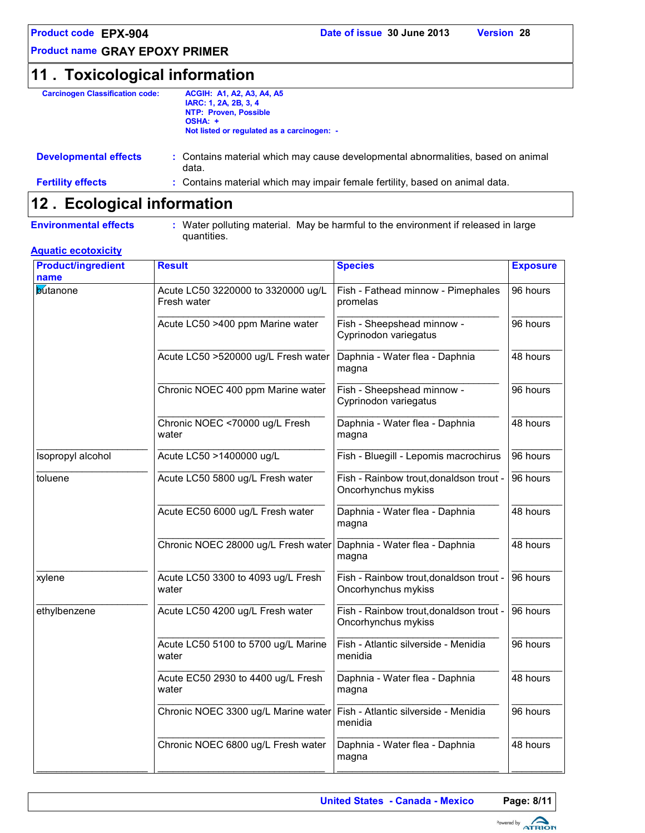# **11 . Toxicological information**

| <b>Carcinogen Classification code:</b> | <b>ACGIH: A1, A2, A3, A4, A5</b>                                                 |
|----------------------------------------|----------------------------------------------------------------------------------|
|                                        | IARC: 1, 2A, 2B, 3, 4                                                            |
|                                        | NTP: Proven, Possible                                                            |
|                                        | OSHA: +                                                                          |
|                                        | Not listed or regulated as a carcinogen: -                                       |
|                                        |                                                                                  |
| <b>Developmental effects</b>           | : Contains material which may cause developmental abnormalities, based on animal |
|                                        |                                                                                  |

| ________________________ | data.                                                                        |
|--------------------------|------------------------------------------------------------------------------|
| <b>Fertility effects</b> | : Contains material which may impair female fertility, based on animal data. |

# **Ecological information 12 .**

**Environmental effects :** Water polluting material. May be harmful to the environment if released in large quantities.

#### **Aquatic ecotoxicity**

| <b>Product/ingredient</b><br>name | <b>Result</b>                                     | <b>Species</b>                                                 | <b>Exposure</b> |
|-----------------------------------|---------------------------------------------------|----------------------------------------------------------------|-----------------|
| <b>butanone</b>                   | Acute LC50 3220000 to 3320000 ug/L<br>Fresh water | Fish - Fathead minnow - Pimephales<br>promelas                 | 96 hours        |
|                                   | Acute LC50 >400 ppm Marine water                  | Fish - Sheepshead minnow -<br>Cyprinodon variegatus            | 96 hours        |
|                                   | Acute LC50 >520000 ug/L Fresh water               | Daphnia - Water flea - Daphnia<br>magna                        | 48 hours        |
|                                   | Chronic NOEC 400 ppm Marine water                 | Fish - Sheepshead minnow -<br>Cyprinodon variegatus            | 96 hours        |
|                                   | Chronic NOEC <70000 ug/L Fresh<br>water           | Daphnia - Water flea - Daphnia<br>magna                        | 48 hours        |
| Isopropyl alcohol                 | Acute LC50 >1400000 ug/L                          | Fish - Bluegill - Lepomis macrochirus                          | 96 hours        |
| toluene                           | Acute LC50 5800 ug/L Fresh water                  | Fish - Rainbow trout, donaldson trout -<br>Oncorhynchus mykiss | 96 hours        |
|                                   | Acute EC50 6000 ug/L Fresh water                  | Daphnia - Water flea - Daphnia<br>magna                        | 48 hours        |
|                                   | Chronic NOEC 28000 ug/L Fresh water               | Daphnia - Water flea - Daphnia<br>magna                        | 48 hours        |
| xylene                            | Acute LC50 3300 to 4093 ug/L Fresh<br>water       | Fish - Rainbow trout, donaldson trout -<br>Oncorhynchus mykiss | 96 hours        |
| ethylbenzene                      | Acute LC50 4200 ug/L Fresh water                  | Fish - Rainbow trout, donaldson trout -<br>Oncorhynchus mykiss | 96 hours        |
|                                   | Acute LC50 5100 to 5700 ug/L Marine<br>water      | Fish - Atlantic silverside - Menidia<br>menidia                | 96 hours        |
|                                   | Acute EC50 2930 to 4400 ug/L Fresh<br>water       | Daphnia - Water flea - Daphnia<br>magna                        | 48 hours        |
|                                   | Chronic NOEC 3300 ug/L Marine water               | Fish - Atlantic silverside - Menidia<br>menidia                | 96 hours        |
|                                   | Chronic NOEC 6800 ug/L Fresh water                | Daphnia - Water flea - Daphnia<br>magna                        | 48 hours        |

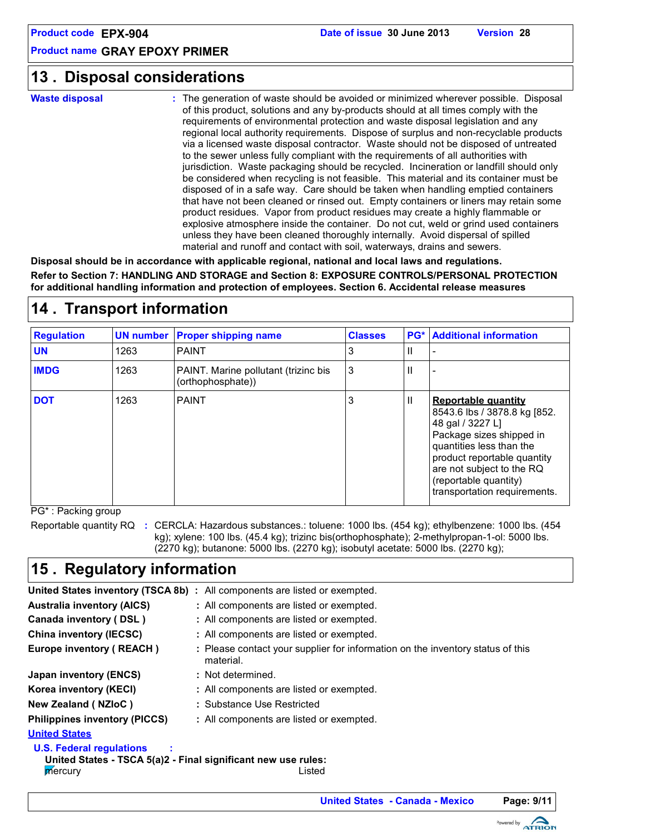# **Disposal considerations 13 .**

**Waste disposal**

The generation of waste should be avoided or minimized wherever possible. Disposal **:** of this product, solutions and any by-products should at all times comply with the requirements of environmental protection and waste disposal legislation and any regional local authority requirements. Dispose of surplus and non-recyclable products via a licensed waste disposal contractor. Waste should not be disposed of untreated to the sewer unless fully compliant with the requirements of all authorities with jurisdiction. Waste packaging should be recycled. Incineration or landfill should only be considered when recycling is not feasible. This material and its container must be disposed of in a safe way. Care should be taken when handling emptied containers that have not been cleaned or rinsed out. Empty containers or liners may retain some product residues. Vapor from product residues may create a highly flammable or explosive atmosphere inside the container. Do not cut, weld or grind used containers unless they have been cleaned thoroughly internally. Avoid dispersal of spilled material and runoff and contact with soil, waterways, drains and sewers.

**Disposal should be in accordance with applicable regional, national and local laws and regulations. Refer to Section 7: HANDLING AND STORAGE and Section 8: EXPOSURE CONTROLS/PERSONAL PROTECTION for additional handling information and protection of employees. Section 6. Accidental release measures**

| <b>Regulation</b> |      | <b>UN number Proper shipping name</b>                     | <b>Classes</b> |              | <b>PG*</b> Additional information                                                                                                                                                                                                                           |
|-------------------|------|-----------------------------------------------------------|----------------|--------------|-------------------------------------------------------------------------------------------------------------------------------------------------------------------------------------------------------------------------------------------------------------|
| <b>UN</b>         | 1263 | <b>PAINT</b>                                              | 3              | н.           |                                                                                                                                                                                                                                                             |
| <b>IMDG</b>       | 1263 | PAINT. Marine pollutant (trizinc bis<br>(orthophosphate)) | 3              |              |                                                                                                                                                                                                                                                             |
| <b>DOT</b>        | 1263 | <b>PAINT</b>                                              | 3              | $\mathbf{H}$ | <b>Reportable quantity</b><br>8543.6 lbs / 3878.8 kg [852.<br>48 gal / 3227 L]<br>Package sizes shipped in<br>quantities less than the<br>product reportable quantity<br>are not subject to the RQ<br>(reportable quantity)<br>transportation requirements. |

# **14 . Transport information**

PG\* : Packing group

Reportable quantity RQ : CERCLA: Hazardous substances.: toluene: 1000 lbs. (454 kg); ethylbenzene: 1000 lbs. (454 kg); xylene: 100 lbs. (45.4 kg); trizinc bis(orthophosphate); 2-methylpropan-1-ol: 5000 lbs. (2270 kg); butanone: 5000 lbs. (2270 kg); isobutyl acetate: 5000 lbs. (2270 kg);

# **15 . Regulatory information**

|                                                                                                                       | <b>United States inventory (TSCA 8b)</b> : All components are listed or exempted.           |  |  |  |
|-----------------------------------------------------------------------------------------------------------------------|---------------------------------------------------------------------------------------------|--|--|--|
| <b>Australia inventory (AICS)</b>                                                                                     | : All components are listed or exempted.                                                    |  |  |  |
| Canada inventory (DSL)                                                                                                | : All components are listed or exempted.                                                    |  |  |  |
| China inventory (IECSC)                                                                                               | : All components are listed or exempted.                                                    |  |  |  |
| Europe inventory (REACH)                                                                                              | : Please contact your supplier for information on the inventory status of this<br>material. |  |  |  |
| Japan inventory (ENCS)                                                                                                | : Not determined.                                                                           |  |  |  |
| Korea inventory (KECI)                                                                                                | : All components are listed or exempted.                                                    |  |  |  |
| New Zealand (NZIoC)                                                                                                   | : Substance Use Restricted                                                                  |  |  |  |
| <b>Philippines inventory (PICCS)</b>                                                                                  | : All components are listed or exempted.                                                    |  |  |  |
| <b>United States</b>                                                                                                  |                                                                                             |  |  |  |
| <b>U.S. Federal regulations</b><br>United States - TSCA 5(a)2 - Final significant new use rules:<br>mercury<br>Listed |                                                                                             |  |  |  |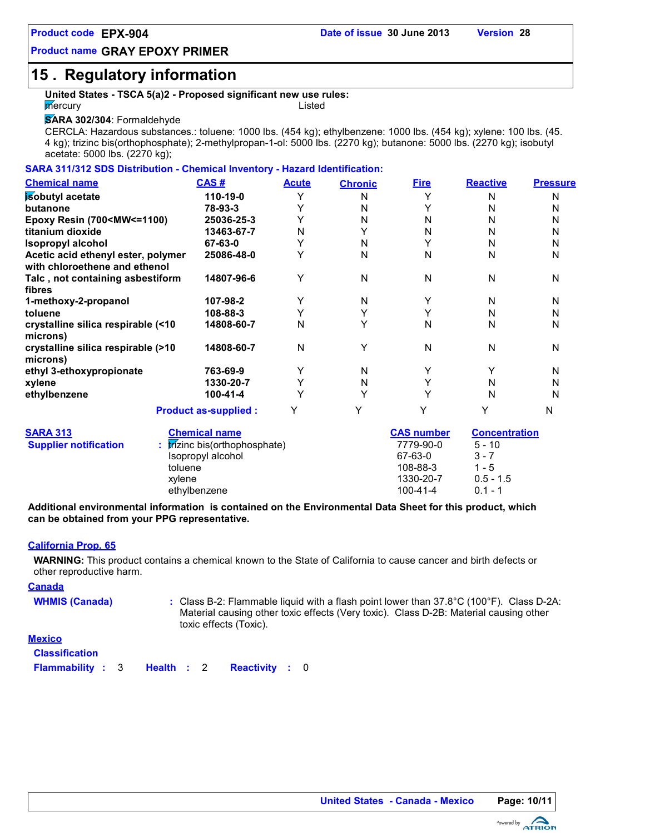# **15 . Regulatory information**

#### **United States - TSCA 5(a)2 - Proposed significant new use rules: mercury** Listed

#### **SARA 302/304**: Formaldehyde

CERCLA: Hazardous substances.: toluene: 1000 lbs. (454 kg); ethylbenzene: 1000 lbs. (454 kg); xylene: 100 lbs. (45. 4 kg); trizinc bis(orthophosphate); 2-methylpropan-1-ol: 5000 lbs. (2270 kg); butanone: 5000 lbs. (2270 kg); isobutyl acetate: 5000 lbs. (2270 kg);

#### **SARA 311/312 SDS Distribution - Chemical Inventory - Hazard Identification:**

| <b>Chemical name</b>                                                                                                  | CAS#                                               | <b>Acute</b> | <b>Chronic</b> | <b>Fire</b>          | <b>Reactive</b>      | <b>Pressure</b> |
|-----------------------------------------------------------------------------------------------------------------------|----------------------------------------------------|--------------|----------------|----------------------|----------------------|-----------------|
| isobutyl acetate                                                                                                      | 110-19-0                                           | Y            | N              | Y                    | N                    | N               |
| butanone                                                                                                              | 78-93-3                                            | Y            | N              | Y                    | N                    | N               |
| Epoxy Resin (700 <mw<=1100)< td=""><td>25036-25-3</td><td>Y</td><td>N</td><td>N</td><td>N</td><td>N</td></mw<=1100)<> | 25036-25-3                                         | Y            | N              | N                    | N                    | N               |
| titanium dioxide                                                                                                      | 13463-67-7                                         | N            |                | N                    | N                    | N               |
| <b>Isopropyl alcohol</b>                                                                                              | 67-63-0                                            | Υ            | N              | Y                    | N                    | N               |
| Acetic acid ethenyl ester, polymer<br>with chloroethene and ethenol                                                   | 25086-48-0                                         | Υ            | N              | N                    | N                    | N               |
| Talc, not containing asbestiform<br>fibres                                                                            | 14807-96-6                                         | Υ            | N              | N                    | N                    | N               |
| 1-methoxy-2-propanol                                                                                                  | 107-98-2                                           | Υ            | N              | Y                    | N                    | N               |
| toluene                                                                                                               | 108-88-3                                           | Υ            | Y              | Y                    | N                    | N               |
| crystalline silica respirable (<10<br>microns)                                                                        | 14808-60-7                                         | N            | Y              | N                    | N                    | N               |
| crystalline silica respirable (>10<br>microns)                                                                        | 14808-60-7                                         | $\mathsf{N}$ | Y              | N                    | N                    | N               |
| ethyl 3-ethoxypropionate                                                                                              | 763-69-9                                           | Y            | N              | Y                    | Y                    | N               |
| xylene                                                                                                                | 1330-20-7                                          | Y            | N              | Y                    | N                    | N               |
| ethylbenzene                                                                                                          | 100-41-4                                           | Υ            | Υ              | Y                    | N                    | N               |
|                                                                                                                       | <b>Product as-supplied:</b>                        | Y            | Y              | Y                    | Y                    | N               |
| <b>SARA 313</b>                                                                                                       | <b>Chemical name</b>                               |              |                | <b>CAS number</b>    | <b>Concentration</b> |                 |
| <b>Supplier notification</b>                                                                                          | : trízinc bis(orthophosphate)<br>Isopropyl alcohol |              |                | 7779-90-0<br>67-63-0 | $5 - 10$<br>$3 - 7$  |                 |
|                                                                                                                       | toluene                                            |              |                | 108-88-3             | 1 - 5                |                 |
|                                                                                                                       | xvlene                                             |              |                | 1330-20-7            | $0.5 - 1.5$          |                 |

**Additional environmental information is contained on the Environmental Data Sheet for this product, which can be obtained from your PPG representative.**

ethylbenzene 100-41-4 0.1 - 1

#### **California Prop. 65**

**WARNING:** This product contains a chemical known to the State of California to cause cancer and birth defects or other reproductive harm.

**Canada**

WHMIS (Canada) : Class B-2: Flammable liquid with a flash point lower than 37.8°C (100°F). Class D-2A: Material causing other toxic effects (Very toxic). Class D-2B: Material causing other toxic effects (Toxic).

#### **Mexico**

| <b>Classification</b>                          |  |  |  |  |  |
|------------------------------------------------|--|--|--|--|--|
| <b>Flammability: 3 Health: 2 Reactivity: 0</b> |  |  |  |  |  |